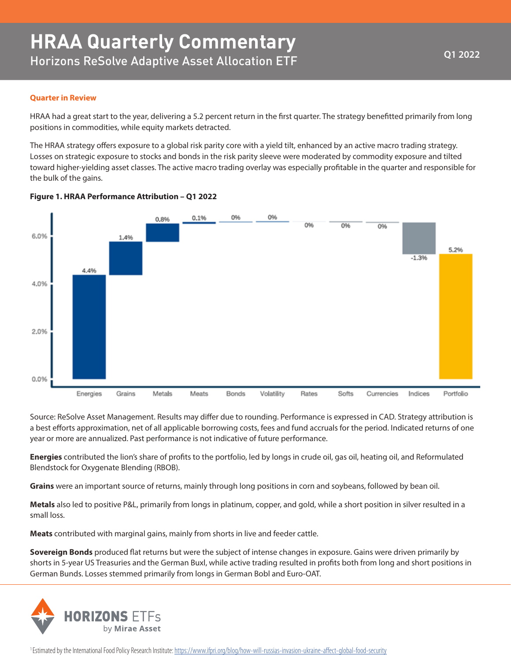## **Quarter in Review**

HRAA had a great start to the year, delivering a 5.2 percent return in the first quarter. The strategy benefitted primarily from long positions in commodities, while equity markets detracted.

The HRAA strategy offers exposure to a global risk parity core with a yield tilt, enhanced by an active macro trading strategy. Losses on strategic exposure to stocks and bonds in the risk parity sleeve were moderated by commodity exposure and tilted toward higher-yielding asset classes. The active macro trading overlay was especially profitable in the quarter and responsible for the bulk of the gains.



## **Figure 1. HRAA Performance Attribution – Q1 2022**

Source: ReSolve Asset Management. Results may differ due to rounding. Performance is expressed in CAD. Strategy attribution is a best efforts approximation, net of all applicable borrowing costs, fees and fund accruals for the period. Indicated returns of one year or more are annualized. Past performance is not indicative of future performance.

**Energies** contributed the lion's share of profits to the portfolio, led by longs in crude oil, gas oil, heating oil, and Reformulated Blendstock for Oxygenate Blending (RBOB).

**Grains** were an important source of returns, mainly through long positions in corn and soybeans, followed by bean oil.

**Metals** also led to positive P&L, primarily from longs in platinum, copper, and gold, while a short position in silver resulted in a small loss.

**Meats** contributed with marginal gains, mainly from shorts in live and feeder cattle.

**Sovereign Bonds** produced flat returns but were the subject of intense changes in exposure. Gains were driven primarily by shorts in 5-year US Treasuries and the German Buxl, while active trading resulted in profits both from long and short positions in German Bunds. Losses stemmed primarily from longs in German Bobl and Euro-OAT.



<sup>1</sup>Estimated by the International Food Policy Research Institute: https://www.ifpri.org/blog/how-will-russias-invasion-ukraine-affect-global-food-security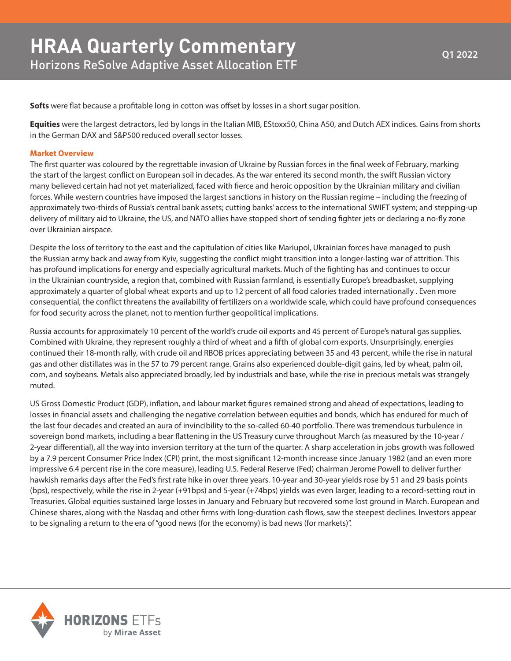**Softs** were flat because a profitable long in cotton was offset by losses in a short sugar position.

**Equities** were the largest detractors, led by longs in the Italian MIB, EStoxx50, China A50, and Dutch AEX indices. Gains from shorts in the German DAX and S&P500 reduced overall sector losses.

## **Market Overview**

The first quarter was coloured by the regrettable invasion of Ukraine by Russian forces in the final week of February, marking the start of the largest conflict on European soil in decades. As the war entered its second month, the swift Russian victory many believed certain had not yet materialized, faced with fierce and heroic opposition by the Ukrainian military and civilian forces. While western countries have imposed the largest sanctions in history on the Russian regime – including the freezing of approximately two-thirds of Russia's central bank assets; cutting banks' access to the international SWIFT system; and stepping-up delivery of military aid to Ukraine, the US, and NATO allies have stopped short of sending fighter jets or declaring a no-fly zone over Ukrainian airspace.

Despite the loss of territory to the east and the capitulation of cities like Mariupol, Ukrainian forces have managed to push the Russian army back and away from Kyiv, suggesting the conflict might transition into a longer-lasting war of attrition. This has profound implications for energy and especially agricultural markets. Much of the fighting has and continues to occur in the Ukrainian countryside, a region that, combined with Russian farmland, is essentially Europe's breadbasket, supplying approximately a quarter of global wheat exports and up to 12 percent of all food calories traded internationally . Even more consequential, the conflict threatens the availability of fertilizers on a worldwide scale, which could have profound consequences for food security across the planet, not to mention further geopolitical implications.

Russia accounts for approximately 10 percent of the world's crude oil exports and 45 percent of Europe's natural gas supplies. Combined with Ukraine, they represent roughly a third of wheat and a fifth of global corn exports. Unsurprisingly, energies continued their 18-month rally, with crude oil and RBOB prices appreciating between 35 and 43 percent, while the rise in natural gas and other distillates was in the 57 to 79 percent range. Grains also experienced double-digit gains, led by wheat, palm oil, corn, and soybeans. Metals also appreciated broadly, led by industrials and base, while the rise in precious metals was strangely muted.

US Gross Domestic Product (GDP), inflation, and labour market figures remained strong and ahead of expectations, leading to losses in financial assets and challenging the negative correlation between equities and bonds, which has endured for much of the last four decades and created an aura of invincibility to the so-called 60-40 portfolio. There was tremendous turbulence in sovereign bond markets, including a bear flattening in the US Treasury curve throughout March (as measured by the 10-year / 2-year differential), all the way into inversion territory at the turn of the quarter. A sharp acceleration in jobs growth was followed by a 7.9 percent Consumer Price Index (CPI) print, the most significant 12-month increase since January 1982 (and an even more impressive 6.4 percent rise in the core measure), leading U.S. Federal Reserve (Fed) chairman Jerome Powell to deliver further hawkish remarks days after the Fed's first rate hike in over three years. 10-year and 30-year yields rose by 51 and 29 basis points (bps), respectively, while the rise in 2-year (+91bps) and 5-year (+74bps) yields was even larger, leading to a record-setting rout in Treasuries. Global equities sustained large losses in January and February but recovered some lost ground in March. European and Chinese shares, along with the Nasdaq and other firms with long-duration cash flows, saw the steepest declines. Investors appear to be signaling a return to the era of "good news (for the economy) is bad news (for markets)".